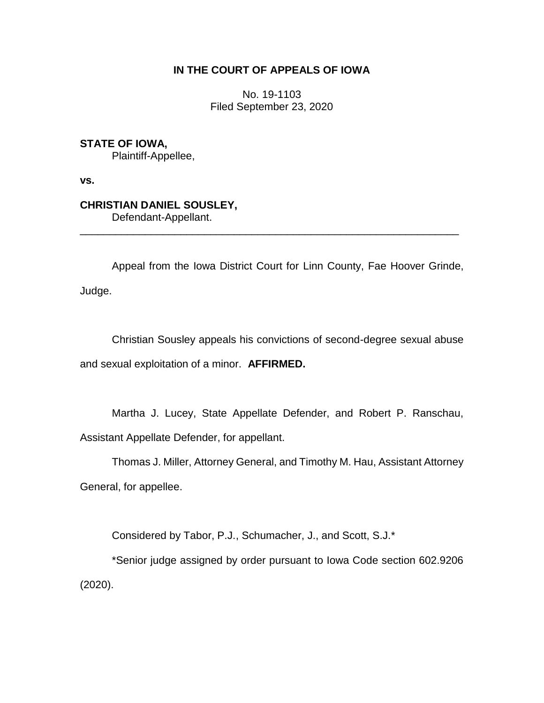# **IN THE COURT OF APPEALS OF IOWA**

No. 19-1103 Filed September 23, 2020

**STATE OF IOWA,** Plaintiff-Appellee,

**vs.**

**CHRISTIAN DANIEL SOUSLEY,** Defendant-Appellant.

\_\_\_\_\_\_\_\_\_\_\_\_\_\_\_\_\_\_\_\_\_\_\_\_\_\_\_\_\_\_\_\_\_\_\_\_\_\_\_\_\_\_\_\_\_\_\_\_\_\_\_\_\_\_\_\_\_\_\_\_\_\_\_\_

Appeal from the Iowa District Court for Linn County, Fae Hoover Grinde, Judge.

Christian Sousley appeals his convictions of second-degree sexual abuse and sexual exploitation of a minor. **AFFIRMED.**

Martha J. Lucey, State Appellate Defender, and Robert P. Ranschau, Assistant Appellate Defender, for appellant.

Thomas J. Miller, Attorney General, and Timothy M. Hau, Assistant Attorney General, for appellee.

Considered by Tabor, P.J., Schumacher, J., and Scott, S.J.\*

\*Senior judge assigned by order pursuant to Iowa Code section 602.9206 (2020).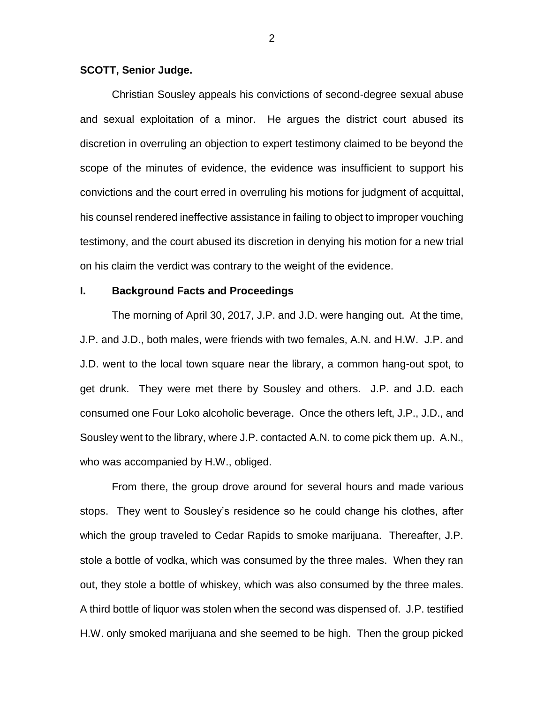#### **SCOTT, Senior Judge.**

Christian Sousley appeals his convictions of second-degree sexual abuse and sexual exploitation of a minor. He argues the district court abused its discretion in overruling an objection to expert testimony claimed to be beyond the scope of the minutes of evidence, the evidence was insufficient to support his convictions and the court erred in overruling his motions for judgment of acquittal, his counsel rendered ineffective assistance in failing to object to improper vouching testimony, and the court abused its discretion in denying his motion for a new trial on his claim the verdict was contrary to the weight of the evidence.

### **I. Background Facts and Proceedings**

The morning of April 30, 2017, J.P. and J.D. were hanging out. At the time, J.P. and J.D., both males, were friends with two females, A.N. and H.W. J.P. and J.D. went to the local town square near the library, a common hang-out spot, to get drunk. They were met there by Sousley and others. J.P. and J.D. each consumed one Four Loko alcoholic beverage. Once the others left, J.P., J.D., and Sousley went to the library, where J.P. contacted A.N. to come pick them up. A.N., who was accompanied by H.W., obliged.

From there, the group drove around for several hours and made various stops. They went to Sousley's residence so he could change his clothes, after which the group traveled to Cedar Rapids to smoke marijuana. Thereafter, J.P. stole a bottle of vodka, which was consumed by the three males. When they ran out, they stole a bottle of whiskey, which was also consumed by the three males. A third bottle of liquor was stolen when the second was dispensed of. J.P. testified H.W. only smoked marijuana and she seemed to be high. Then the group picked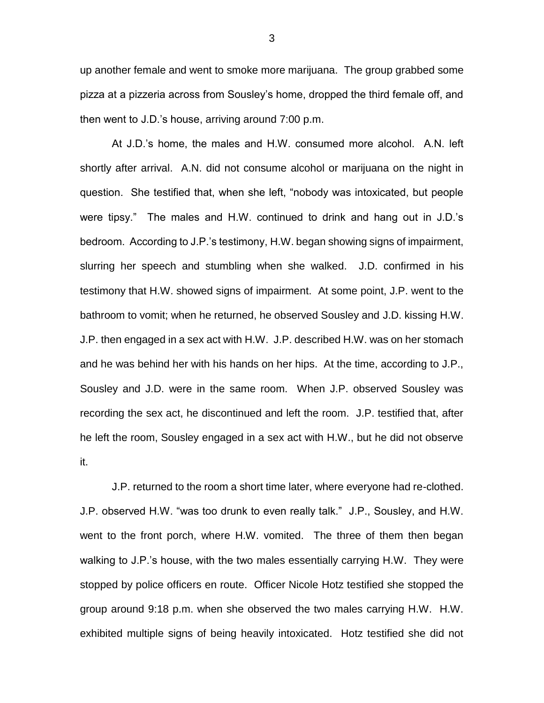up another female and went to smoke more marijuana. The group grabbed some pizza at a pizzeria across from Sousley's home, dropped the third female off, and then went to J.D.'s house, arriving around 7:00 p.m.

At J.D.'s home, the males and H.W. consumed more alcohol. A.N. left shortly after arrival. A.N. did not consume alcohol or marijuana on the night in question. She testified that, when she left, "nobody was intoxicated, but people were tipsy." The males and H.W. continued to drink and hang out in J.D.'s bedroom. According to J.P.'s testimony, H.W. began showing signs of impairment, slurring her speech and stumbling when she walked. J.D. confirmed in his testimony that H.W. showed signs of impairment. At some point, J.P. went to the bathroom to vomit; when he returned, he observed Sousley and J.D. kissing H.W. J.P. then engaged in a sex act with H.W. J.P. described H.W. was on her stomach and he was behind her with his hands on her hips. At the time, according to J.P., Sousley and J.D. were in the same room. When J.P. observed Sousley was recording the sex act, he discontinued and left the room. J.P. testified that, after he left the room, Sousley engaged in a sex act with H.W., but he did not observe it.

J.P. returned to the room a short time later, where everyone had re-clothed. J.P. observed H.W. "was too drunk to even really talk." J.P., Sousley, and H.W. went to the front porch, where H.W. vomited. The three of them then began walking to J.P.'s house, with the two males essentially carrying H.W. They were stopped by police officers en route. Officer Nicole Hotz testified she stopped the group around 9:18 p.m. when she observed the two males carrying H.W. H.W. exhibited multiple signs of being heavily intoxicated. Hotz testified she did not

3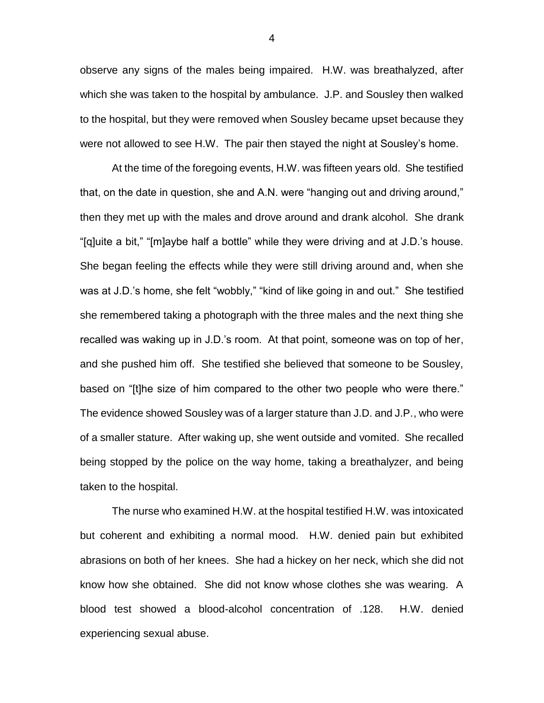observe any signs of the males being impaired. H.W. was breathalyzed, after which she was taken to the hospital by ambulance. J.P. and Sousley then walked to the hospital, but they were removed when Sousley became upset because they were not allowed to see H.W. The pair then stayed the night at Sousley's home.

At the time of the foregoing events, H.W. was fifteen years old. She testified that, on the date in question, she and A.N. were "hanging out and driving around," then they met up with the males and drove around and drank alcohol. She drank "[q]uite a bit," "[m]aybe half a bottle" while they were driving and at J.D.'s house. She began feeling the effects while they were still driving around and, when she was at J.D.'s home, she felt "wobbly," "kind of like going in and out." She testified she remembered taking a photograph with the three males and the next thing she recalled was waking up in J.D.'s room. At that point, someone was on top of her, and she pushed him off. She testified she believed that someone to be Sousley, based on "[t]he size of him compared to the other two people who were there." The evidence showed Sousley was of a larger stature than J.D. and J.P., who were of a smaller stature. After waking up, she went outside and vomited. She recalled being stopped by the police on the way home, taking a breathalyzer, and being taken to the hospital.

The nurse who examined H.W. at the hospital testified H.W. was intoxicated but coherent and exhibiting a normal mood. H.W. denied pain but exhibited abrasions on both of her knees. She had a hickey on her neck, which she did not know how she obtained. She did not know whose clothes she was wearing. A blood test showed a blood-alcohol concentration of .128. H.W. denied experiencing sexual abuse.

4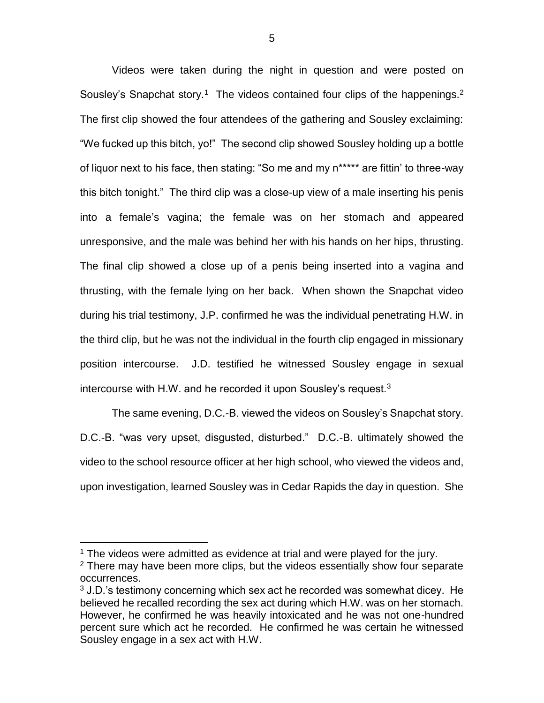Videos were taken during the night in question and were posted on Sousley's Snapchat story.<sup>1</sup> The videos contained four clips of the happenings.<sup>2</sup> The first clip showed the four attendees of the gathering and Sousley exclaiming: "We fucked up this bitch, yo!" The second clip showed Sousley holding up a bottle of liquor next to his face, then stating: "So me and my n\*\*\*\*\* are fittin' to three-way this bitch tonight." The third clip was a close-up view of a male inserting his penis into a female's vagina; the female was on her stomach and appeared unresponsive, and the male was behind her with his hands on her hips, thrusting. The final clip showed a close up of a penis being inserted into a vagina and thrusting, with the female lying on her back. When shown the Snapchat video during his trial testimony, J.P. confirmed he was the individual penetrating H.W. in the third clip, but he was not the individual in the fourth clip engaged in missionary position intercourse. J.D. testified he witnessed Sousley engage in sexual intercourse with H.W. and he recorded it upon Sousley's request.<sup>3</sup>

The same evening, D.C.-B. viewed the videos on Sousley's Snapchat story. D.C.-B. "was very upset, disgusted, disturbed." D.C.-B. ultimately showed the video to the school resource officer at her high school, who viewed the videos and, upon investigation, learned Sousley was in Cedar Rapids the day in question. She

 $\overline{a}$ 

 $1$  The videos were admitted as evidence at trial and were played for the jury.

 $2$  There may have been more clips, but the videos essentially show four separate occurrences.

 $3$  J.D.'s testimony concerning which sex act he recorded was somewhat dicey. He believed he recalled recording the sex act during which H.W. was on her stomach. However, he confirmed he was heavily intoxicated and he was not one-hundred percent sure which act he recorded. He confirmed he was certain he witnessed Sousley engage in a sex act with H.W.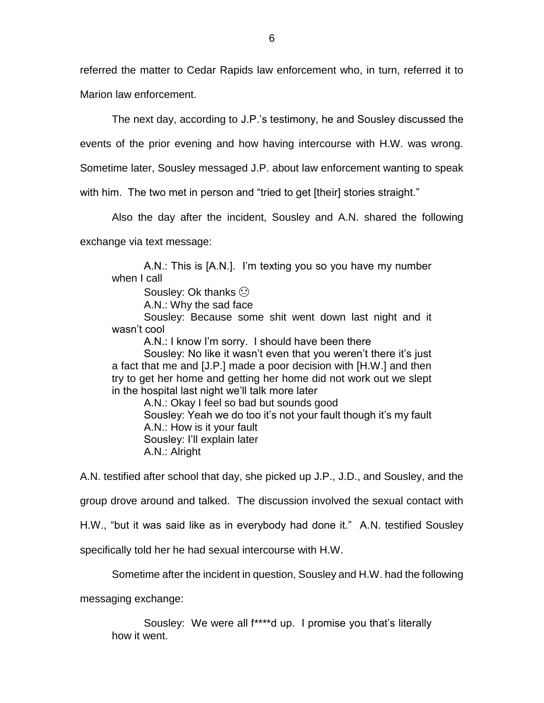referred the matter to Cedar Rapids law enforcement who, in turn, referred it to Marion law enforcement.

The next day, according to J.P.'s testimony, he and Sousley discussed the

events of the prior evening and how having intercourse with H.W. was wrong.

Sometime later, Sousley messaged J.P. about law enforcement wanting to speak

with him. The two met in person and "tried to get [their] stories straight."

Also the day after the incident, Sousley and A.N. shared the following

exchange via text message:

A.N.: This is [A.N.]. I'm texting you so you have my number when I call

Sousley: Ok thanks  $\odot$ 

A.N.: Why the sad face

Sousley: Because some shit went down last night and it wasn't cool

A.N.: I know I'm sorry. I should have been there

Sousley: No like it wasn't even that you weren't there it's just a fact that me and [J.P.] made a poor decision with [H.W.] and then try to get her home and getting her home did not work out we slept in the hospital last night we'll talk more later

A.N.: Okay I feel so bad but sounds good Sousley: Yeah we do too it's not your fault though it's my fault A.N.: How is it your fault Sousley: I'll explain later A.N.: Alright

A.N. testified after school that day, she picked up J.P., J.D., and Sousley, and the

group drove around and talked. The discussion involved the sexual contact with

H.W., "but it was said like as in everybody had done it." A.N. testified Sousley

specifically told her he had sexual intercourse with H.W.

Sometime after the incident in question, Sousley and H.W. had the following

messaging exchange:

Sousley: We were all f\*\*\*\*d up. I promise you that's literally how it went.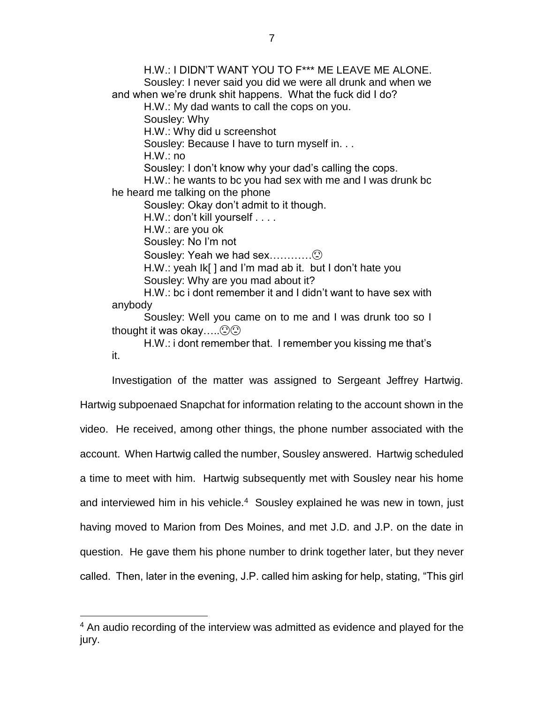H.W.: I DIDN'T WANT YOU TO F\*\*\* ME LEAVE ME ALONE. Sousley: I never said you did we were all drunk and when we and when we're drunk shit happens. What the fuck did I do? H.W.: My dad wants to call the cops on you. Sousley: Why H.W.: Why did u screenshot Sousley: Because I have to turn myself in. . . H.W.: no Sousley: I don't know why your dad's calling the cops. H.W.: he wants to bc you had sex with me and I was drunk bc he heard me talking on the phone Sousley: Okay don't admit to it though. H.W.: don't kill yourself . . . . H.W.: are you ok Sousley: No I'm not Sousley: Yeah we had sex………… H.W.: yeah Ik[ ] and I'm mad ab it. but I don't hate you Sousley: Why are you mad about it? H.W.: bc i dont remember it and I didn't want to have sex with anybody Sousley: Well you came on to me and I was drunk too so I thought it was okay..... $\odot \odot$ 

H.W.: i dont remember that. I remember you kissing me that's it.

Investigation of the matter was assigned to Sergeant Jeffrey Hartwig. Hartwig subpoenaed Snapchat for information relating to the account shown in the video. He received, among other things, the phone number associated with the account. When Hartwig called the number, Sousley answered. Hartwig scheduled a time to meet with him. Hartwig subsequently met with Sousley near his home and interviewed him in his vehicle.<sup>4</sup> Sousley explained he was new in town, just having moved to Marion from Des Moines, and met J.D. and J.P. on the date in question. He gave them his phone number to drink together later, but they never called. Then, later in the evening, J.P. called him asking for help, stating, "This girl

 $\overline{a}$ 

<sup>&</sup>lt;sup>4</sup> An audio recording of the interview was admitted as evidence and played for the jury.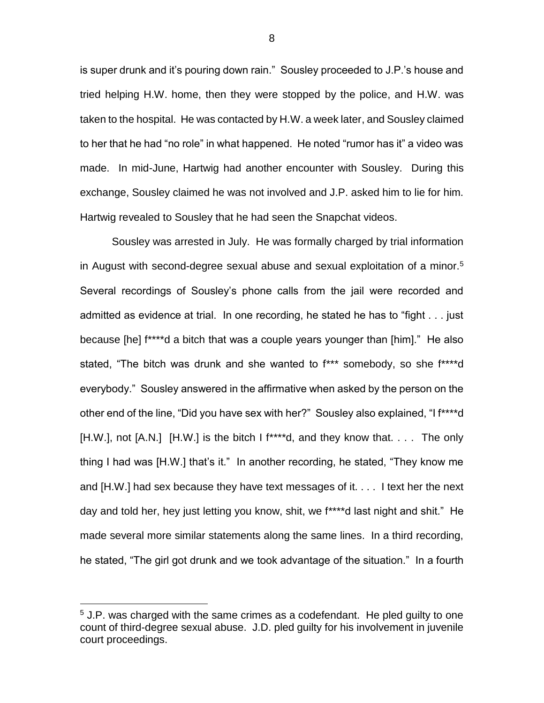is super drunk and it's pouring down rain." Sousley proceeded to J.P.'s house and tried helping H.W. home, then they were stopped by the police, and H.W. was taken to the hospital. He was contacted by H.W. a week later, and Sousley claimed to her that he had "no role" in what happened. He noted "rumor has it" a video was made. In mid-June, Hartwig had another encounter with Sousley. During this exchange, Sousley claimed he was not involved and J.P. asked him to lie for him. Hartwig revealed to Sousley that he had seen the Snapchat videos.

Sousley was arrested in July. He was formally charged by trial information in August with second-degree sexual abuse and sexual exploitation of a minor.<sup>5</sup> Several recordings of Sousley's phone calls from the jail were recorded and admitted as evidence at trial. In one recording, he stated he has to "fight . . . just because [he] f\*\*\*\*d a bitch that was a couple years younger than [him]." He also stated, "The bitch was drunk and she wanted to f\*\*\* somebody, so she f\*\*\*\*d everybody." Sousley answered in the affirmative when asked by the person on the other end of the line, "Did you have sex with her?" Sousley also explained, "I f\*\*\*\*d  $[H.W.],$  not  $[A.N.]$   $[H.W.]$  is the bitch I f<sup>\*\*\*\*</sup>d, and they know that. . . . The only thing I had was [H.W.] that's it." In another recording, he stated, "They know me and [H.W.] had sex because they have text messages of it. . . . I text her the next day and told her, hey just letting you know, shit, we f\*\*\*\*d last night and shit." He made several more similar statements along the same lines. In a third recording, he stated, "The girl got drunk and we took advantage of the situation." In a fourth

 $\overline{a}$ 

 $5$  J.P. was charged with the same crimes as a codefendant. He pled guilty to one count of third-degree sexual abuse. J.D. pled guilty for his involvement in juvenile court proceedings.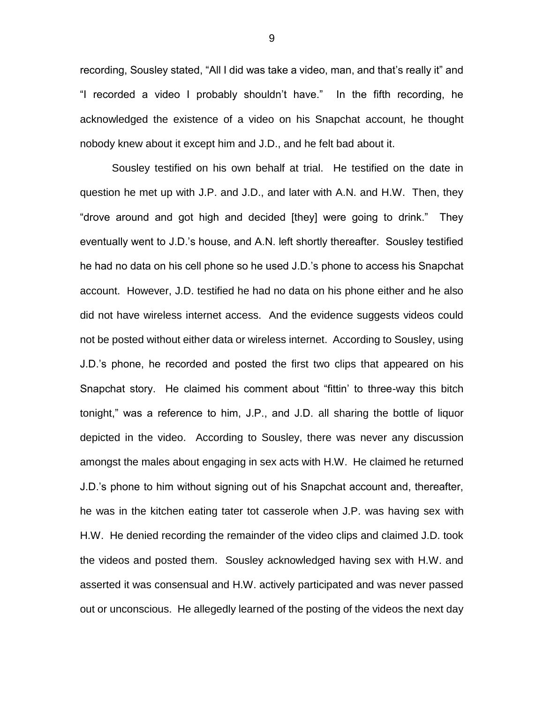recording, Sousley stated, "All I did was take a video, man, and that's really it" and "I recorded a video I probably shouldn't have." In the fifth recording, he acknowledged the existence of a video on his Snapchat account, he thought nobody knew about it except him and J.D., and he felt bad about it.

Sousley testified on his own behalf at trial. He testified on the date in question he met up with J.P. and J.D., and later with A.N. and H.W. Then, they "drove around and got high and decided [they] were going to drink." They eventually went to J.D.'s house, and A.N. left shortly thereafter. Sousley testified he had no data on his cell phone so he used J.D.'s phone to access his Snapchat account. However, J.D. testified he had no data on his phone either and he also did not have wireless internet access. And the evidence suggests videos could not be posted without either data or wireless internet. According to Sousley, using J.D.'s phone, he recorded and posted the first two clips that appeared on his Snapchat story. He claimed his comment about "fittin' to three-way this bitch tonight," was a reference to him, J.P., and J.D. all sharing the bottle of liquor depicted in the video. According to Sousley, there was never any discussion amongst the males about engaging in sex acts with H.W. He claimed he returned J.D.'s phone to him without signing out of his Snapchat account and, thereafter, he was in the kitchen eating tater tot casserole when J.P. was having sex with H.W. He denied recording the remainder of the video clips and claimed J.D. took the videos and posted them. Sousley acknowledged having sex with H.W. and asserted it was consensual and H.W. actively participated and was never passed out or unconscious. He allegedly learned of the posting of the videos the next day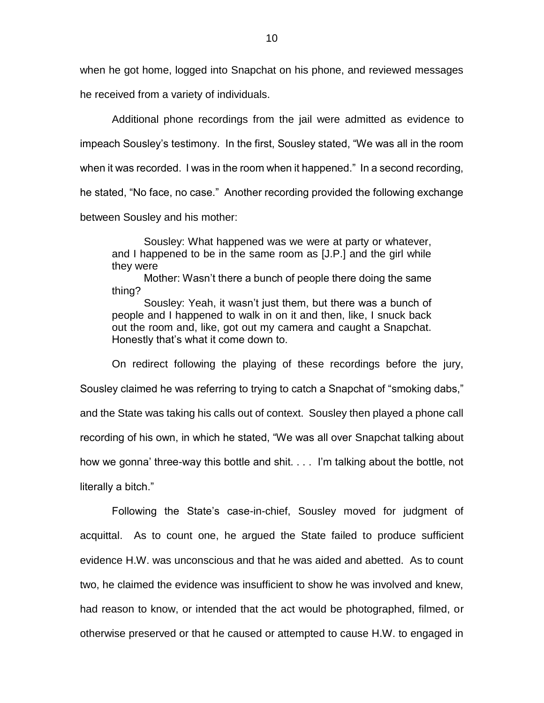when he got home, logged into Snapchat on his phone, and reviewed messages he received from a variety of individuals.

Additional phone recordings from the jail were admitted as evidence to impeach Sousley's testimony. In the first, Sousley stated, "We was all in the room when it was recorded. I was in the room when it happened." In a second recording, he stated, "No face, no case." Another recording provided the following exchange between Sousley and his mother:

Sousley: What happened was we were at party or whatever, and I happened to be in the same room as [J.P.] and the girl while they were

Mother: Wasn't there a bunch of people there doing the same thing?

Sousley: Yeah, it wasn't just them, but there was a bunch of people and I happened to walk in on it and then, like, I snuck back out the room and, like, got out my camera and caught a Snapchat. Honestly that's what it come down to.

On redirect following the playing of these recordings before the jury, Sousley claimed he was referring to trying to catch a Snapchat of "smoking dabs," and the State was taking his calls out of context. Sousley then played a phone call recording of his own, in which he stated, "We was all over Snapchat talking about how we gonna' three-way this bottle and shit. . . . I'm talking about the bottle, not literally a bitch."

Following the State's case-in-chief, Sousley moved for judgment of acquittal. As to count one, he argued the State failed to produce sufficient evidence H.W. was unconscious and that he was aided and abetted. As to count two, he claimed the evidence was insufficient to show he was involved and knew, had reason to know, or intended that the act would be photographed, filmed, or otherwise preserved or that he caused or attempted to cause H.W. to engaged in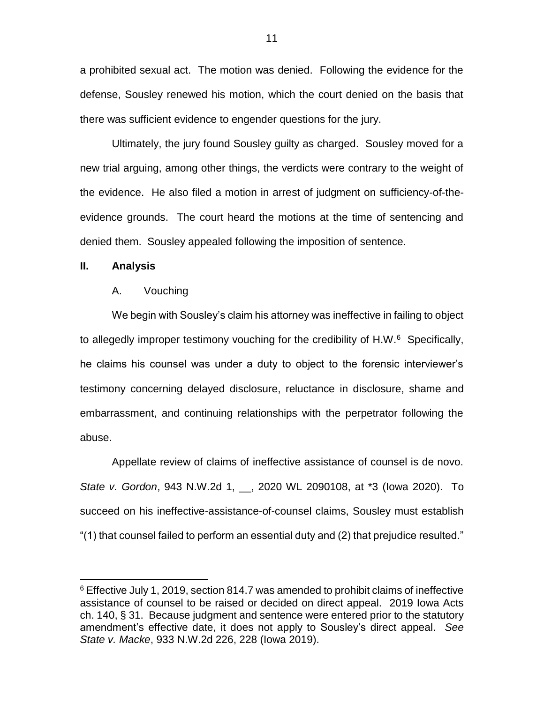a prohibited sexual act. The motion was denied. Following the evidence for the defense, Sousley renewed his motion, which the court denied on the basis that there was sufficient evidence to engender questions for the jury.

Ultimately, the jury found Sousley guilty as charged. Sousley moved for a new trial arguing, among other things, the verdicts were contrary to the weight of the evidence. He also filed a motion in arrest of judgment on sufficiency-of-theevidence grounds. The court heard the motions at the time of sentencing and denied them. Sousley appealed following the imposition of sentence.

### **II. Analysis**

 $\overline{a}$ 

#### A. Vouching

We begin with Sousley's claim his attorney was ineffective in failing to object to allegedly improper testimony vouching for the credibility of H.W.<sup>6</sup> Specifically, he claims his counsel was under a duty to object to the forensic interviewer's testimony concerning delayed disclosure, reluctance in disclosure, shame and embarrassment, and continuing relationships with the perpetrator following the abuse.

Appellate review of claims of ineffective assistance of counsel is de novo. *State v. Gordon*, 943 N.W.2d 1, \_\_, 2020 WL 2090108, at \*3 (Iowa 2020). To succeed on his ineffective-assistance-of-counsel claims, Sousley must establish "(1) that counsel failed to perform an essential duty and (2) that prejudice resulted."

<sup>6</sup> Effective July 1, 2019, section 814.7 was amended to prohibit claims of ineffective assistance of counsel to be raised or decided on direct appeal. 2019 Iowa Acts ch. 140, § 31. Because judgment and sentence were entered prior to the statutory amendment's effective date, it does not apply to Sousley's direct appeal. *See State v. Macke*, 933 N.W.2d 226, 228 (Iowa 2019).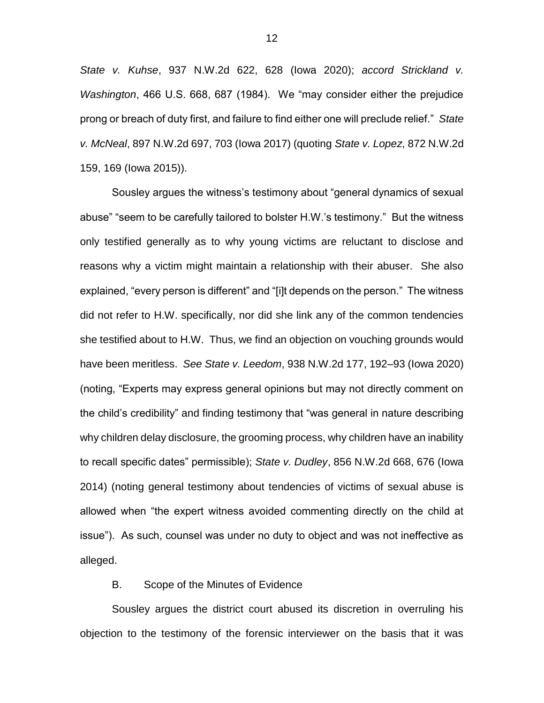*State v. Kuhse*, 937 N.W.2d 622, 628 (Iowa 2020); *accord Strickland v. Washington*, 466 U.S. 668, 687 (1984). We "may consider either the prejudice prong or breach of duty first, and failure to find either one will preclude relief." *State v. McNeal*, 897 N.W.2d 697, 703 (Iowa 2017) (quoting *State v. Lopez*, 872 N.W.2d 159, 169 (Iowa 2015)).

Sousley argues the witness's testimony about "general dynamics of sexual abuse" "seem to be carefully tailored to bolster H.W.'s testimony." But the witness only testified generally as to why young victims are reluctant to disclose and reasons why a victim might maintain a relationship with their abuser. She also explained, "every person is different" and "[i]t depends on the person." The witness did not refer to H.W. specifically, nor did she link any of the common tendencies she testified about to H.W. Thus, we find an objection on vouching grounds would have been meritless. *See State v. Leedom*, 938 N.W.2d 177, 192–93 (Iowa 2020) (noting, "Experts may express general opinions but may not directly comment on the child's credibility" and finding testimony that "was general in nature describing why children delay disclosure, the grooming process, why children have an inability to recall specific dates" permissible); *State v. Dudley*, 856 N.W.2d 668, 676 (Iowa 2014) (noting general testimony about tendencies of victims of sexual abuse is allowed when "the expert witness avoided commenting directly on the child at issue"). As such, counsel was under no duty to object and was not ineffective as alleged.

### B. Scope of the Minutes of Evidence

Sousley argues the district court abused its discretion in overruling his objection to the testimony of the forensic interviewer on the basis that it was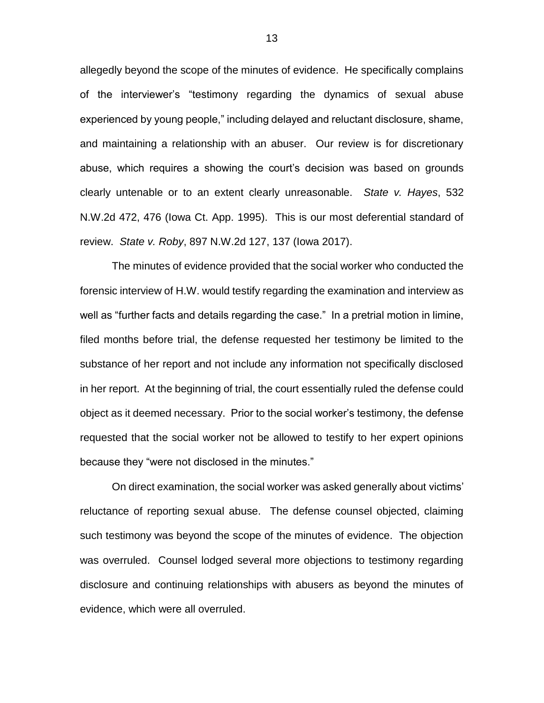allegedly beyond the scope of the minutes of evidence. He specifically complains of the interviewer's "testimony regarding the dynamics of sexual abuse experienced by young people," including delayed and reluctant disclosure, shame, and maintaining a relationship with an abuser. Our review is for discretionary abuse, which requires a showing the court's decision was based on grounds clearly untenable or to an extent clearly unreasonable. *State v. Hayes*, 532 N.W.2d 472, 476 (Iowa Ct. App. 1995). This is our most deferential standard of review. *State v. Roby*, 897 N.W.2d 127, 137 (Iowa 2017).

The minutes of evidence provided that the social worker who conducted the forensic interview of H.W. would testify regarding the examination and interview as well as "further facts and details regarding the case." In a pretrial motion in limine, filed months before trial, the defense requested her testimony be limited to the substance of her report and not include any information not specifically disclosed in her report. At the beginning of trial, the court essentially ruled the defense could object as it deemed necessary. Prior to the social worker's testimony, the defense requested that the social worker not be allowed to testify to her expert opinions because they "were not disclosed in the minutes."

On direct examination, the social worker was asked generally about victims' reluctance of reporting sexual abuse. The defense counsel objected, claiming such testimony was beyond the scope of the minutes of evidence. The objection was overruled. Counsel lodged several more objections to testimony regarding disclosure and continuing relationships with abusers as beyond the minutes of evidence, which were all overruled.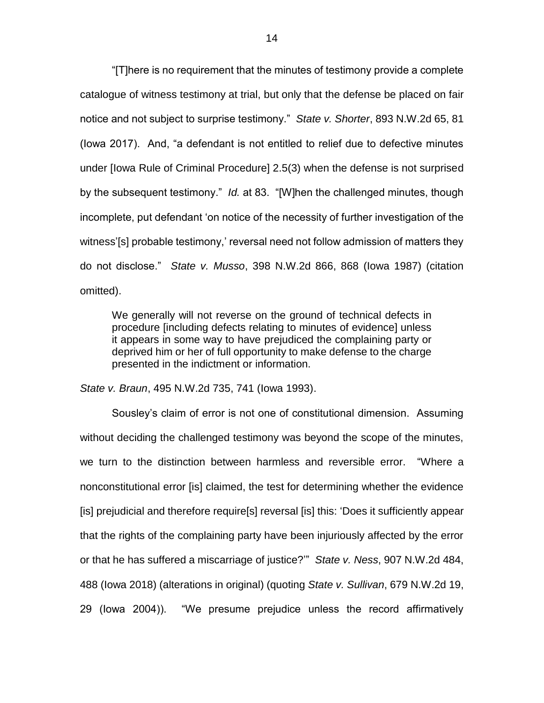"[T]here is no requirement that the minutes of testimony provide a complete catalogue of witness testimony at trial, but only that the defense be placed on fair notice and not subject to surprise testimony." *State v. Shorter*, 893 N.W.2d 65, 81 (Iowa 2017). And, "a defendant is not entitled to relief due to defective minutes under [Iowa Rule of Criminal Procedure] 2.5(3) when the defense is not surprised by the subsequent testimony." *Id.* at 83. "[W]hen the challenged minutes, though incomplete, put defendant 'on notice of the necessity of further investigation of the witness'[s] probable testimony,' reversal need not follow admission of matters they do not disclose." *State v. Musso*, 398 N.W.2d 866, 868 (Iowa 1987) (citation omitted).

We generally will not reverse on the ground of technical defects in procedure [including defects relating to minutes of evidence] unless it appears in some way to have prejudiced the complaining party or deprived him or her of full opportunity to make defense to the charge presented in the indictment or information.

*State v. Braun*, 495 N.W.2d 735, 741 (Iowa 1993).

Sousley's claim of error is not one of constitutional dimension. Assuming without deciding the challenged testimony was beyond the scope of the minutes, we turn to the distinction between harmless and reversible error. "Where a nonconstitutional error [is] claimed, the test for determining whether the evidence [is] prejudicial and therefore require[s] reversal [is] this: 'Does it sufficiently appear that the rights of the complaining party have been injuriously affected by the error or that he has suffered a miscarriage of justice?'" *State v. Ness*, 907 N.W.2d 484, 488 (Iowa 2018) (alterations in original) (quoting *State v. Sullivan*, 679 N.W.2d 19, 29 (Iowa 2004)). "We presume prejudice unless the record affirmatively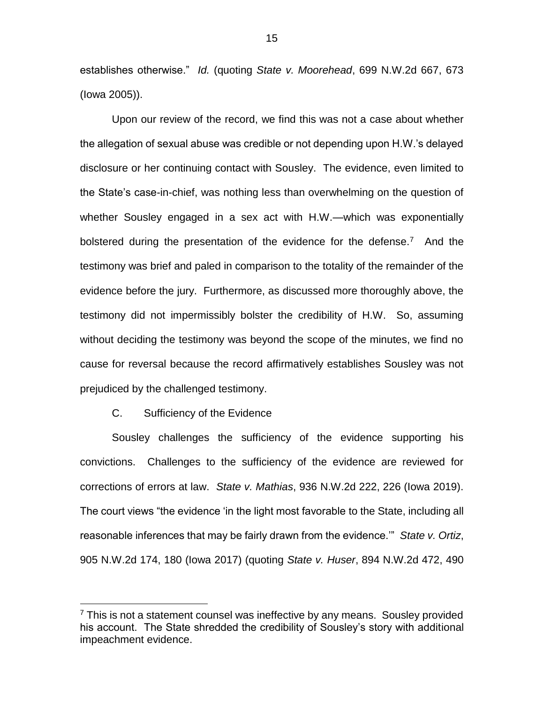establishes otherwise." *Id.* (quoting *State v. Moorehead*, 699 N.W.2d 667, 673 (Iowa 2005)).

Upon our review of the record, we find this was not a case about whether the allegation of sexual abuse was credible or not depending upon H.W.'s delayed disclosure or her continuing contact with Sousley. The evidence, even limited to the State's case-in-chief, was nothing less than overwhelming on the question of whether Sousley engaged in a sex act with H.W.—which was exponentially bolstered during the presentation of the evidence for the defense.<sup>7</sup> And the testimony was brief and paled in comparison to the totality of the remainder of the evidence before the jury. Furthermore, as discussed more thoroughly above, the testimony did not impermissibly bolster the credibility of H.W. So, assuming without deciding the testimony was beyond the scope of the minutes, we find no cause for reversal because the record affirmatively establishes Sousley was not prejudiced by the challenged testimony.

### C. Sufficiency of the Evidence

 $\overline{a}$ 

Sousley challenges the sufficiency of the evidence supporting his convictions. Challenges to the sufficiency of the evidence are reviewed for corrections of errors at law. *State v. Mathias*, 936 N.W.2d 222, 226 (Iowa 2019). The court views "the evidence 'in the light most favorable to the State, including all reasonable inferences that may be fairly drawn from the evidence.'" *State v. Ortiz*, 905 N.W.2d 174, 180 (Iowa 2017) (quoting *State v. Huser*, 894 N.W.2d 472, 490

 $7$  This is not a statement counsel was ineffective by any means. Sousley provided his account. The State shredded the credibility of Sousley's story with additional impeachment evidence.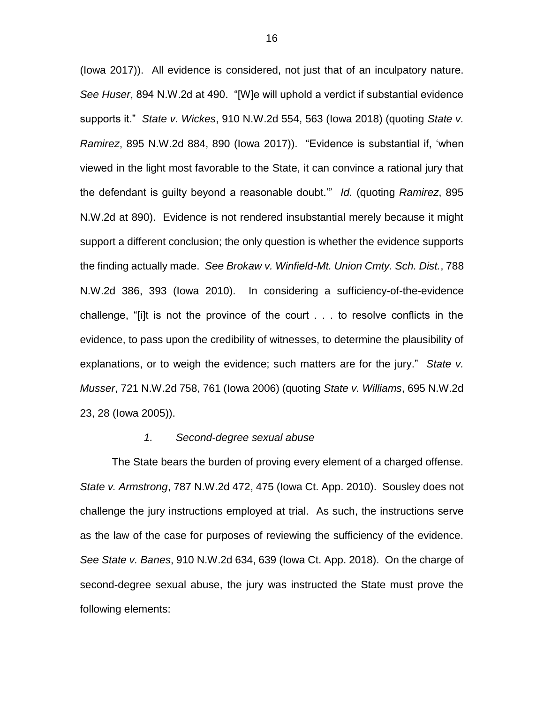(Iowa 2017)). All evidence is considered, not just that of an inculpatory nature. *See Huser*, 894 N.W.2d at 490. "[W]e will uphold a verdict if substantial evidence supports it." *State v. Wickes*, 910 N.W.2d 554, 563 (Iowa 2018) (quoting *State v. Ramirez*, 895 N.W.2d 884, 890 (Iowa 2017))."Evidence is substantial if, 'when viewed in the light most favorable to the State, it can convince a rational jury that the defendant is guilty beyond a reasonable doubt.'" *Id.* (quoting *Ramirez*, 895 N.W.2d at 890). Evidence is not rendered insubstantial merely because it might support a different conclusion; the only question is whether the evidence supports the finding actually made. *See Brokaw v. Winfield-Mt. Union Cmty. Sch. Dist.*, 788 N.W.2d 386, 393 (Iowa 2010). In considering a sufficiency-of-the-evidence challenge, "[i]t is not the province of the court . . . to resolve conflicts in the evidence, to pass upon the credibility of witnesses, to determine the plausibility of explanations, or to weigh the evidence; such matters are for the jury." *State v. Musser*, 721 N.W.2d 758, 761 (Iowa 2006) (quoting *State v. Williams*, 695 N.W.2d 23, 28 (Iowa 2005)).

#### *1. Second-degree sexual abuse*

The State bears the burden of proving every element of a charged offense. *State v. Armstrong*, 787 N.W.2d 472, 475 (Iowa Ct. App. 2010). Sousley does not challenge the jury instructions employed at trial. As such, the instructions serve as the law of the case for purposes of reviewing the sufficiency of the evidence. *See State v. Banes*, 910 N.W.2d 634, 639 (Iowa Ct. App. 2018). On the charge of second-degree sexual abuse, the jury was instructed the State must prove the following elements: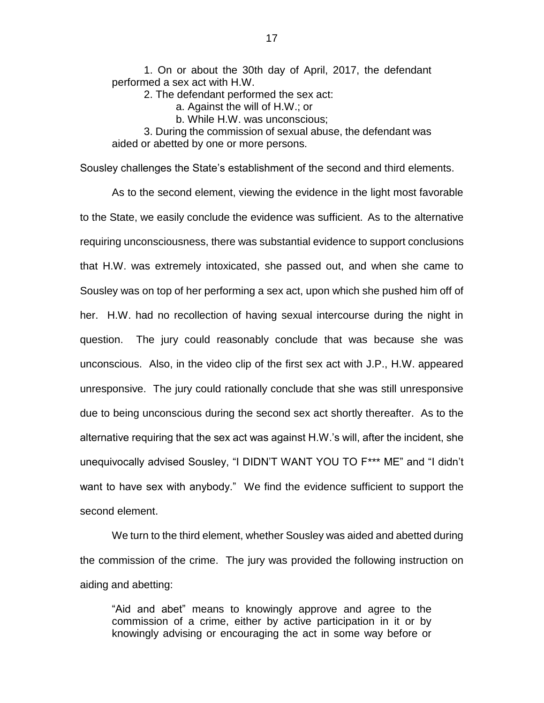1. On or about the 30th day of April, 2017, the defendant performed a sex act with H.W.

2. The defendant performed the sex act:

a. Against the will of H.W.; or

b. While H.W. was unconscious;

3. During the commission of sexual abuse, the defendant was aided or abetted by one or more persons.

Sousley challenges the State's establishment of the second and third elements.

As to the second element, viewing the evidence in the light most favorable to the State, we easily conclude the evidence was sufficient. As to the alternative requiring unconsciousness, there was substantial evidence to support conclusions that H.W. was extremely intoxicated, she passed out, and when she came to Sousley was on top of her performing a sex act, upon which she pushed him off of her. H.W. had no recollection of having sexual intercourse during the night in question. The jury could reasonably conclude that was because she was unconscious. Also, in the video clip of the first sex act with J.P., H.W. appeared unresponsive. The jury could rationally conclude that she was still unresponsive due to being unconscious during the second sex act shortly thereafter. As to the alternative requiring that the sex act was against H.W.'s will, after the incident, she unequivocally advised Sousley, "I DIDN'T WANT YOU TO F\*\*\* ME" and "I didn't want to have sex with anybody." We find the evidence sufficient to support the second element.

We turn to the third element, whether Sousley was aided and abetted during the commission of the crime. The jury was provided the following instruction on aiding and abetting:

"Aid and abet" means to knowingly approve and agree to the commission of a crime, either by active participation in it or by knowingly advising or encouraging the act in some way before or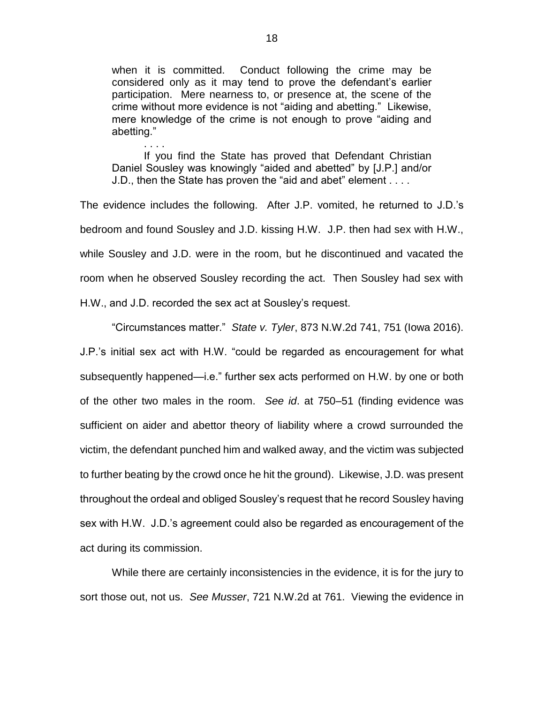when it is committed. Conduct following the crime may be considered only as it may tend to prove the defendant's earlier participation. Mere nearness to, or presence at, the scene of the crime without more evidence is not "aiding and abetting." Likewise, mere knowledge of the crime is not enough to prove "aiding and abetting."

If you find the State has proved that Defendant Christian Daniel Sousley was knowingly "aided and abetted" by [J.P.] and/or J.D., then the State has proven the "aid and abet" element . . . .

. . . .

The evidence includes the following. After J.P. vomited, he returned to J.D.'s bedroom and found Sousley and J.D. kissing H.W. J.P. then had sex with H.W., while Sousley and J.D. were in the room, but he discontinued and vacated the room when he observed Sousley recording the act. Then Sousley had sex with H.W., and J.D. recorded the sex act at Sousley's request.

"Circumstances matter." *State v. Tyler*, 873 N.W.2d 741, 751 (Iowa 2016).

J.P.'s initial sex act with H.W. "could be regarded as encouragement for what subsequently happened—i.e." further sex acts performed on H.W. by one or both of the other two males in the room. *See id*. at 750–51 (finding evidence was sufficient on aider and abettor theory of liability where a crowd surrounded the victim, the defendant punched him and walked away, and the victim was subjected to further beating by the crowd once he hit the ground). Likewise, J.D. was present throughout the ordeal and obliged Sousley's request that he record Sousley having sex with H.W. J.D.'s agreement could also be regarded as encouragement of the act during its commission.

While there are certainly inconsistencies in the evidence, it is for the jury to sort those out, not us. *See Musser*, 721 N.W.2d at 761. Viewing the evidence in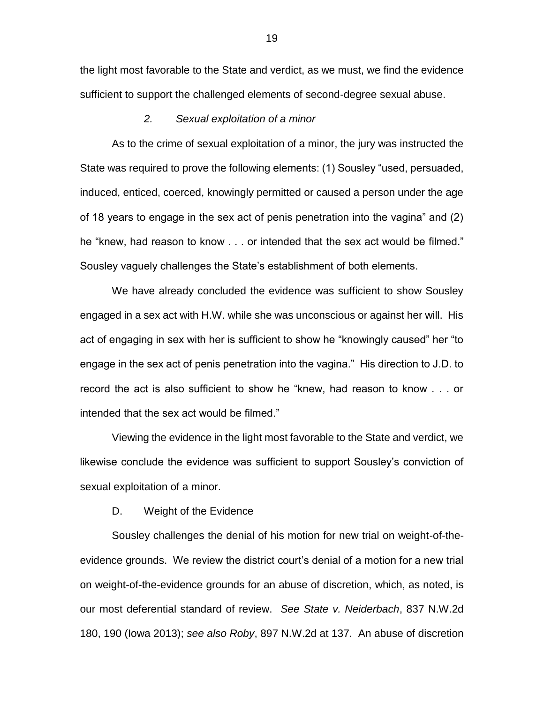the light most favorable to the State and verdict, as we must, we find the evidence sufficient to support the challenged elements of second-degree sexual abuse.

## *2. Sexual exploitation of a minor*

As to the crime of sexual exploitation of a minor, the jury was instructed the State was required to prove the following elements: (1) Sousley "used, persuaded, induced, enticed, coerced, knowingly permitted or caused a person under the age of 18 years to engage in the sex act of penis penetration into the vagina" and (2) he "knew, had reason to know . . . or intended that the sex act would be filmed." Sousley vaguely challenges the State's establishment of both elements.

We have already concluded the evidence was sufficient to show Sousley engaged in a sex act with H.W. while she was unconscious or against her will. His act of engaging in sex with her is sufficient to show he "knowingly caused" her "to engage in the sex act of penis penetration into the vagina." His direction to J.D. to record the act is also sufficient to show he "knew, had reason to know . . . or intended that the sex act would be filmed."

Viewing the evidence in the light most favorable to the State and verdict, we likewise conclude the evidence was sufficient to support Sousley's conviction of sexual exploitation of a minor.

D. Weight of the Evidence

Sousley challenges the denial of his motion for new trial on weight-of-theevidence grounds. We review the district court's denial of a motion for a new trial on weight-of-the-evidence grounds for an abuse of discretion, which, as noted, is our most deferential standard of review. *See State v. Neiderbach*, 837 N.W.2d 180, 190 (Iowa 2013); *see also Roby*, 897 N.W.2d at 137. An abuse of discretion

19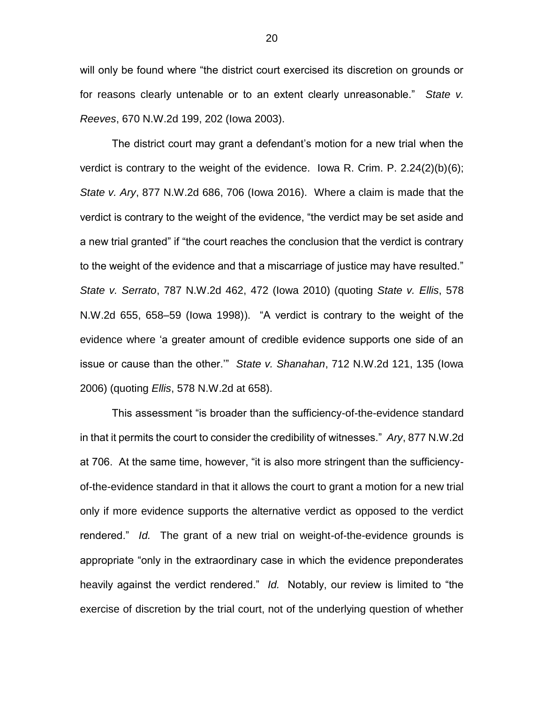will only be found where "the district court exercised its discretion on grounds or for reasons clearly untenable or to an extent clearly unreasonable." *State v. Reeves*, 670 N.W.2d 199, 202 (Iowa 2003).

The district court may grant a defendant's motion for a new trial when the verdict is contrary to the weight of the evidence. Iowa R. Crim. P.  $2.24(2)(b)(6)$ ; *State v. Ary*, 877 N.W.2d 686, 706 (Iowa 2016). Where a claim is made that the verdict is contrary to the weight of the evidence, "the verdict may be set aside and a new trial granted" if "the court reaches the conclusion that the verdict is contrary to the weight of the evidence and that a miscarriage of justice may have resulted." *State v. Serrato*, 787 N.W.2d 462, 472 (Iowa 2010) (quoting *State v. Ellis*, 578 N.W.2d 655, 658–59 (Iowa 1998)). "A verdict is contrary to the weight of the evidence where 'a greater amount of credible evidence supports one side of an issue or cause than the other.'" *State v. Shanahan*, 712 N.W.2d 121, 135 (Iowa 2006) (quoting *Ellis*, 578 N.W.2d at 658).

This assessment "is broader than the sufficiency-of-the-evidence standard in that it permits the court to consider the credibility of witnesses." *Ary*, 877 N.W.2d at 706. At the same time, however, "it is also more stringent than the sufficiencyof-the-evidence standard in that it allows the court to grant a motion for a new trial only if more evidence supports the alternative verdict as opposed to the verdict rendered." *Id.* The grant of a new trial on weight-of-the-evidence grounds is appropriate "only in the extraordinary case in which the evidence preponderates heavily against the verdict rendered." *Id.* Notably, our review is limited to "the exercise of discretion by the trial court, not of the underlying question of whether